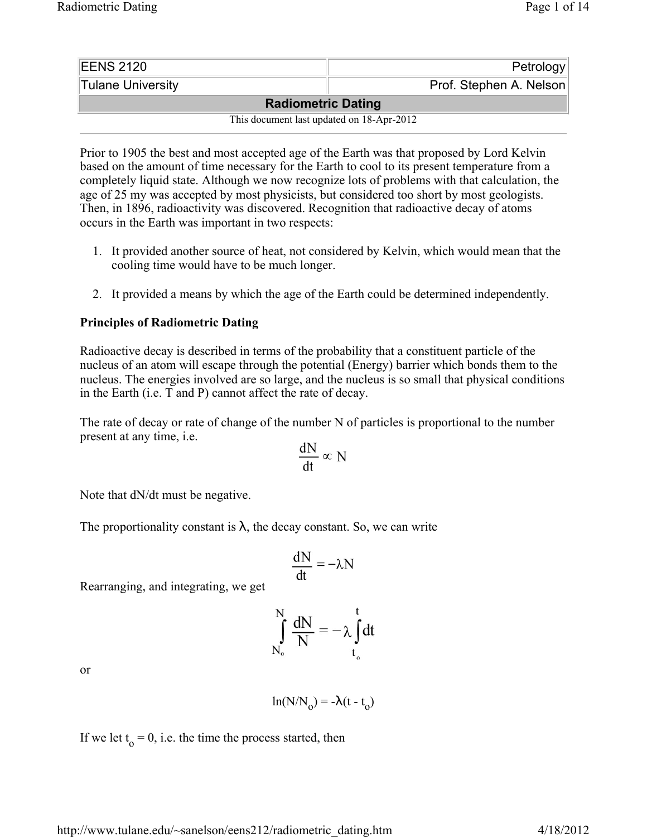| EENS 2120                                 | Petrology               |  |  |  |
|-------------------------------------------|-------------------------|--|--|--|
| Tulane University                         | Prof. Stephen A. Nelson |  |  |  |
| <b>Radiometric Dating</b>                 |                         |  |  |  |
| This document last updated on 18-Apr-2012 |                         |  |  |  |

Prior to 1905 the best and most accepted age of the Earth was that proposed by Lord Kelvin based on the amount of time necessary for the Earth to cool to its present temperature from a completely liquid state. Although we now recognize lots of problems with that calculation, the age of 25 my was accepted by most physicists, but considered too short by most geologists. Then, in 1896, radioactivity was discovered. Recognition that radioactive decay of atoms occurs in the Earth was important in two respects:

- 1. It provided another source of heat, not considered by Kelvin, which would mean that the cooling time would have to be much longer.
- 2. It provided a means by which the age of the Earth could be determined independently.

## **Principles of Radiometric Dating**

Radioactive decay is described in terms of the probability that a constituent particle of the nucleus of an atom will escape through the potential (Energy) barrier which bonds them to the nucleus. The energies involved are so large, and the nucleus is so small that physical conditions in the Earth (i.e. T and P) cannot affect the rate of decay.

The rate of decay or rate of change of the number N of particles is proportional to the number present at any time, i.e.

$$
\frac{\mathrm{dN}}{\mathrm{dt}} \propto N
$$

Note that dN/dt must be negative.

The proportionality constant is  $\lambda$ , the decay constant. So, we can write

$$
\frac{dN}{dt} = -\lambda N
$$

Rearranging, and integrating, we get

$$
\int_{N_o}^{N} \frac{dN}{N} = -\lambda \int_{t_o}^{t} dt
$$

or

$$
\ln(N/N_0) = -\lambda(t - t_0)
$$

If we let  $t_0 = 0$ , i.e. the time the process started, then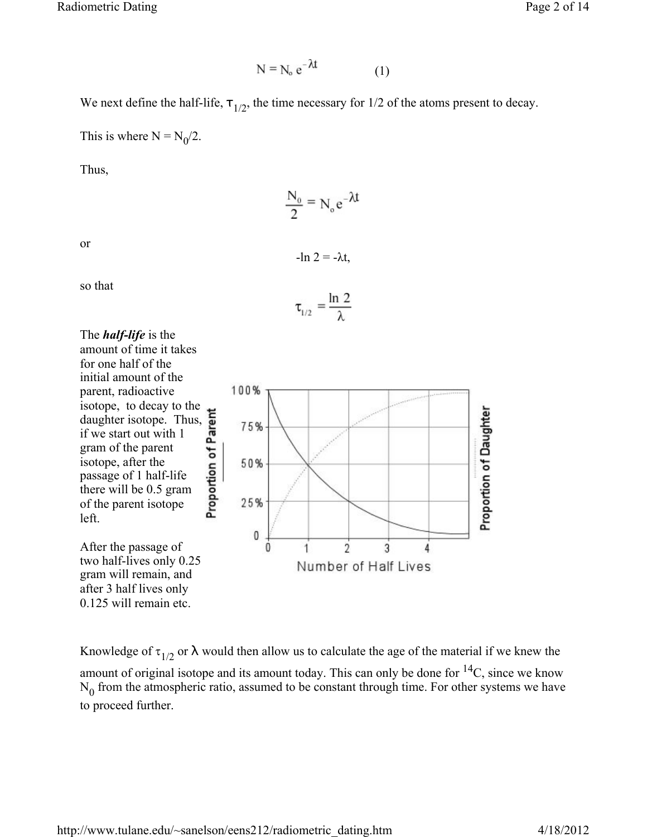$$
N = N_o e^{-\lambda t}
$$
 (1)

We next define the half-life,  $\tau_{1/2}$ , the time necessary for 1/2 of the atoms present to decay.

This is where  $N = N_0/2$ .

Thus,

$$
\frac{N_o}{2} \equiv N_o e^{-\lambda t}
$$

or

so that

The *half-life* is the amount of time it takes for one half of the initial amount of the parent, radioactive isotope, to decay to the reduction to decay to the<br>daughter isotope. Thus,  $\frac{1}{2}$  if we start out with 1<br>gram of the parent<br>isotope, after the<br>passage of 1 half-life<br>there will be 0.5 gram<br>of the parent isotope if we start out with 1 gram of the parent isotope, after the passage of 1 half-life there will be 0.5 gram of the parent isotope left.

After the passage of two half-lives only 0.25 gram will remain, and after 3 half lives only 0.125 will remain etc.



 $-ln$  2 =  $-\lambda t$ ,



Knowledge of  $\tau_{1/2}$  or  $\lambda$  would then allow us to calculate the age of the material if we knew the amount of original isotope and its amount today. This can only be done for  ${}^{14}C$ , since we know  $N_0$  from the atmospheric ratio, assumed to be constant through time. For other systems we have to proceed further.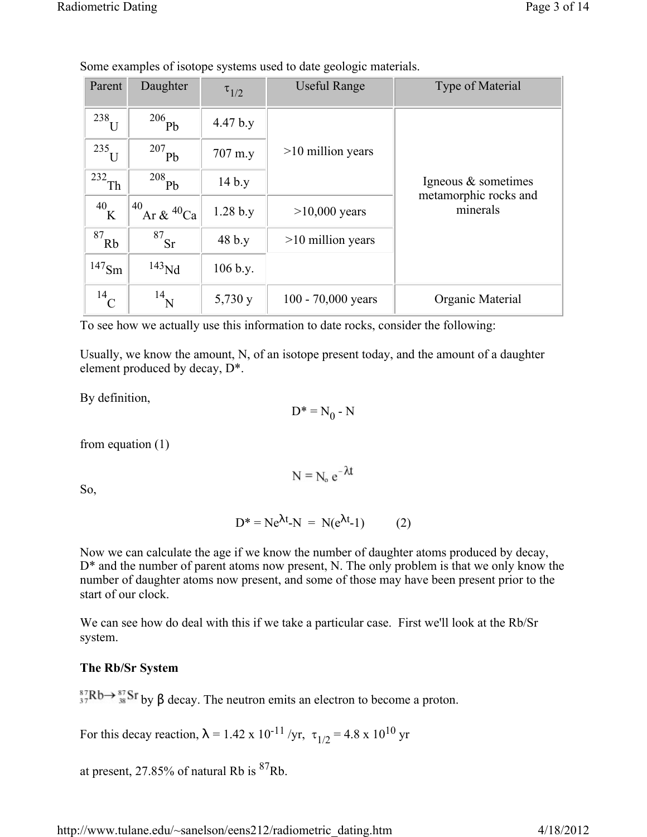| Parent                 | Daughter                   | $\tau_{1/2}$ | <b>Useful Range</b>  | Type of Material                  |
|------------------------|----------------------------|--------------|----------------------|-----------------------------------|
| $238$ U                | $206$ Pb                   | 4.47 b.y     |                      |                                   |
| 235<br>H               | $^{207}$ Pb                | 707 m.y      | $>10$ million years  |                                   |
| $+232$ Th <sup>1</sup> | 208<br>Pb                  | 14 b.y       |                      | Igneous $\&$ sometimes            |
| 40<br>K                | 40<br>Ar & $^{40}$ Ca      | 1.28 b.y     | $>10,000$ years      | metamorphic rocks and<br>minerals |
| 87<br>Rb               | $\overline{\frac{87}{15}}$ | 48 b.y       | $>10$ million years  |                                   |
| $147$ Sm               | $143$ Nd                   | 106 b.y.     |                      |                                   |
| $^{14}$ C              | $^{14}$ N                  | 5,730y       | 100 - $70,000$ years | Organic Material                  |

Some examples of isotope systems used to date geologic materials.

To see how we actually use this information to date rocks, consider the following:

Usually, we know the amount, N, of an isotope present today, and the amount of a daughter element produced by decay, D\*.

By definition,

 $D^* = N_0 - N$ 

from equation (1)

So,

$$
D^* = Ne^{\lambda t} - N = N(e^{\lambda t} - 1)
$$
 (2)

 $N = N_0 e^{-\lambda t}$ 

Now we can calculate the age if we know the number of daughter atoms produced by decay, D<sup>\*</sup> and the number of parent atoms now present, N. The only problem is that we only know the number of daughter atoms now present, and some of those may have been present prior to the start of our clock.

We can see how do deal with this if we take a particular case. First we'll look at the Rb/Sr system.

## **The Rb/Sr System**

 ${}^{87}_{37}Rb \rightarrow {}^{87}_{38}Sr$  by  $\beta$  decay. The neutron emits an electron to become a proton.

For this decay reaction,  $\lambda = 1.42 \times 10^{-11}$  /yr,  $\tau_{1/2} = 4.8 \times 10^{10}$  yr

at present, 27.85% of natural Rb is  ${}^{87}$ Rb.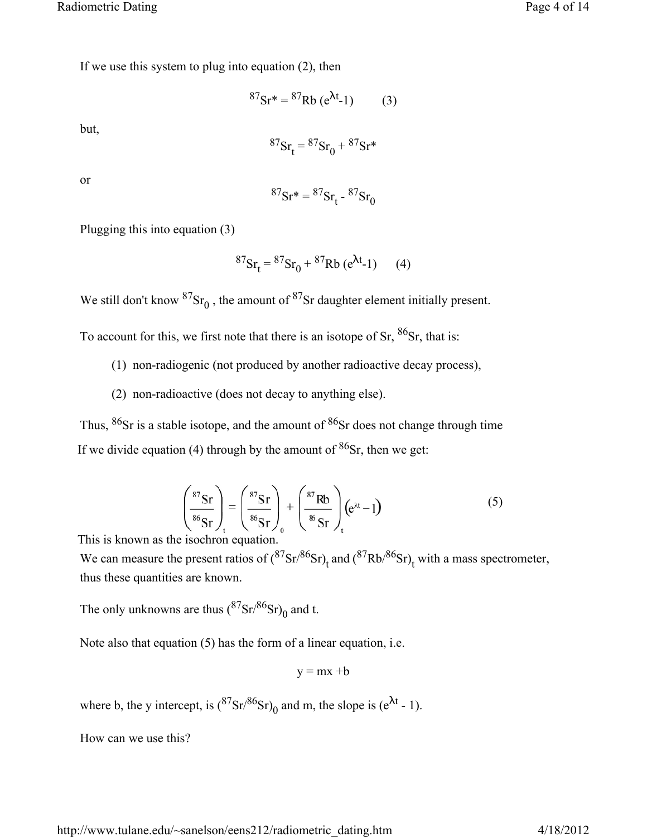If we use this system to plug into equation (2), then

$$
{}^{87}\text{Sr*} = {}^{87}\text{Rb} \text{ (e}^{\lambda t} - 1) \tag{3}
$$

but,

$$
{}^{87}\text{Sr}_{t} = {}^{87}\text{Sr}_{0} + {}^{87}\text{Sr*}
$$

or

$$
{}^{87}\text{Sr}^* = {}^{87}\text{Sr}^{\dagger} - {}^{87}\text{Sr}^{\dagger}
$$

Plugging this into equation (3)

$$
{}^{87}\text{Sr}_{t} = {}^{87}\text{Sr}_{0} + {}^{87}\text{Rb} (e^{\lambda t} - 1) \qquad (4)
$$

We still don't know  ${}^{87}Sr_0$ , the amount of  ${}^{87}Sr$  daughter element initially present.

To account for this, we first note that there is an isotope of Sr,  ${}^{86}Sr$ , that is:

- (1) non-radiogenic (not produced by another radioactive decay process),
- (2) non-radioactive (does not decay to anything else).

Thus, <sup>86</sup>Sr is a stable isotope, and the amount of <sup>86</sup>Sr does not change through time If we divide equation (4) through by the amount of  $86$ Sr, then we get:

$$
\left(\frac{{}^{87}\text{Sr}}{^{86}\text{Sr}}\right)_t = \left(\frac{{}^{87}\text{Sr}}{^{86}\text{Sr}}\right)_0 + \left(\frac{{}^{87}\text{Rb}}{^{86}\text{Sr}}\right)_t \left(e^{\lambda t} - 1\right) \tag{5}
$$

This is known as the isochron equation.

We can measure the present ratios of  $({}^{87}Sr/{}^{86}Sr)_{t}$  and  $({}^{87}Rb/{}^{86}Sr)_{t}$  with a mass spectrometer, thus these quantities are known.

The only unknowns are thus  $({}^{87}\text{Sr}){}^{86}\text{Sr})_0$  and t.

Note also that equation (5) has the form of a linear equation, i.e.

$$
y = mx + b
$$

where b, the y intercept, is  $({}^{87}Sr/{}^{86}Sr)_{0}$  and m, the slope is (e<sup> $\lambda$ t</sup> - 1).

How can we use this?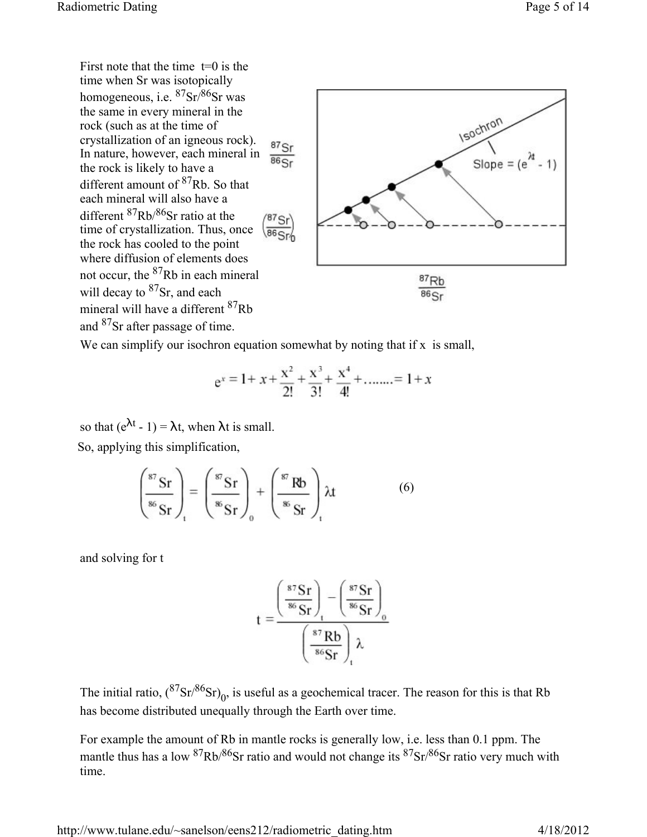First note that the time  $t=0$  is the time when Sr was isotopically homogeneous, i.e.  ${}^{87}Sr/{}^{86}Sr$  was the same in every mineral in the rock (such as at the time of crystallization of an igneous rock).  $87$ Sr In nature, however, each mineral in  $86Sr$ the rock is likely to have a different amount of 87Rb. So that each mineral will also have a different 87Rb/86Sr ratio at the  $87$ Sr time of crystallization. Thus, once  $\sqrt{86_{\rm Sr}}$ the rock has cooled to the point where diffusion of elements does not occur, the 87Rb in each mineral will decay to <sup>87</sup>Sr, and each mineral will have a different 87Rb and 87Sr after passage of time.



We can simplify our isochron equation somewhat by noting that if  $x$  is small,

$$
e^x = 1 + x + \frac{x^2}{2!} + \frac{x^3}{3!} + \frac{x^4}{4!} + \dots = 1 + x
$$

so that  $(e^{\lambda t} - 1) = \lambda t$ , when  $\lambda t$  is small. So, applying this simplification,

$$
\left(\frac{{}^{87}Sr}{{}^{86}Sr}\right)_t = \left(\frac{{}^{87}Sr}{{}^{86}Sr}\right)_0 + \left(\frac{{}^{87}Rb}{{}^{86}Sr}\right)_t \lambda t \tag{6}
$$

and solving for t

$$
t = \frac{\left(\frac{{}^{87}Sr}{^{86}Sr}\right)_t - \left(\frac{{}^{87}Sr}{^{86}Sr}\right)_0}{\left(\frac{{}^{87}Rb}{^{86}Sr}\right)_t \lambda}
$$

The initial ratio,  $({}^{87}Sr/{}^{86}Sr)_{0}$ , is useful as a geochemical tracer. The reason for this is that Rb has become distributed unequally through the Earth over time.

For example the amount of Rb in mantle rocks is generally low, i.e. less than 0.1 ppm. The mantle thus has a low  $\frac{87Rb}{86}$ Sr ratio and would not change its  $\frac{87sr}{86}$ Sr ratio very much with time.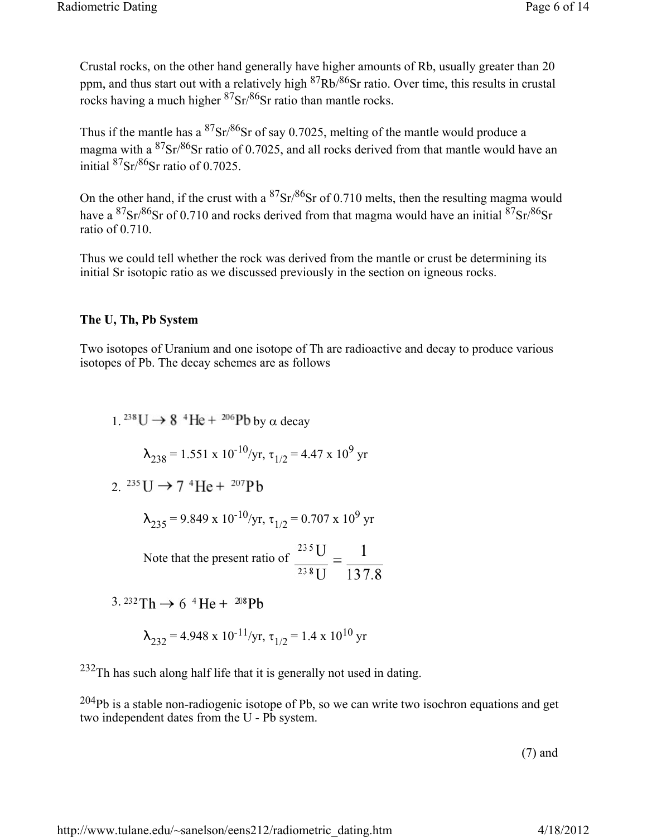Crustal rocks, on the other hand generally have higher amounts of Rb, usually greater than 20 ppm, and thus start out with a relatively high  ${}^{87}Rb/{}^{86}Sr$  ratio. Over time, this results in crustal rocks having a much higher  ${}^{87}Sr/{}^{86}Sr$  ratio than mantle rocks.

Thus if the mantle has a  ${}^{87}Sr/{}^{86}Sr$  of say 0.7025, melting of the mantle would produce a magma with a  ${}^{87}Sr/{}^{86}Sr$  ratio of 0.7025, and all rocks derived from that mantle would have an initial  ${}^{87}Sr/{}^{86}Sr$  ratio of 0.7025.

On the other hand, if the crust with a  ${}^{87}Sr/{}^{86}Sr$  of 0.710 melts, then the resulting magma would have a  $87\text{Sr}/86\text{Sr}$  of 0.710 and rocks derived from that magma would have an initial  $87\text{Sr}/86\text{Sr}$ ratio of 0.710.

Thus we could tell whether the rock was derived from the mantle or crust be determining its initial Sr isotopic ratio as we discussed previously in the section on igneous rocks.

## **The U, Th, Pb System**

Two isotopes of Uranium and one isotope of Th are radioactive and decay to produce various isotopes of Pb. The decay schemes are as follows

 $1^{238}$ U  $\rightarrow$  8<sup>4</sup>He + <sup>206</sup>Pb by  $\alpha$  decay  $\lambda_{238} = 1.551 \times 10^{-10} / \text{yr}, \tau_{1/2} = 4.47 \times 10^9 \text{ yr}$ 2.  ${}^{235}U \rightarrow 7$  <sup>4</sup>He +  ${}^{207}Pb$  $\lambda_{235} = 9.849 \times 10^{-10} / yr$ ,  $\tau_{1/2} = 0.707 \times 10^9$  yr Note that the present ratio of  $\frac{^{235} \text{U}}{^{238} \text{H}} = \frac{1}{137.8}$ 

3.  $232 \text{ Th} \rightarrow 6 \text{ }^4\text{He} + \text{ }^{208}\text{Pb}$ 

$$
\lambda_{232} = 4.948 \times 10^{-11} / \text{yr}, \tau_{1/2} = 1.4 \times 10^{10} \text{ yr}
$$

 $232$ Th has such along half life that it is generally not used in dating.

 $204Pb$  is a stable non-radiogenic isotope of Pb, so we can write two isochron equations and get two independent dates from the U - Pb system.

(7) and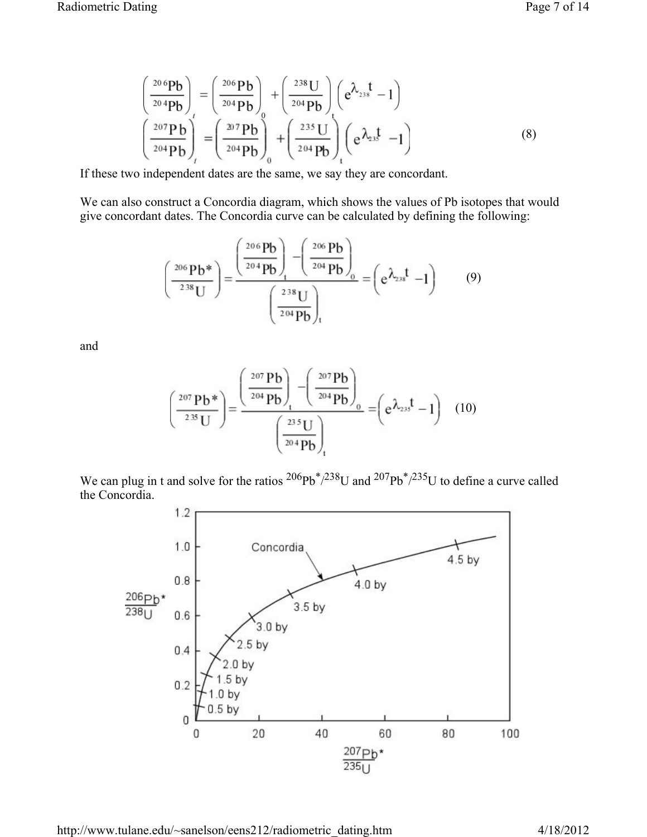$$
\begin{pmatrix}\n\frac{20}{6}Pb \\
\frac{20}{4}Pb\n\end{pmatrix}_{t} = \left(\frac{20}{204}Pb\right)_{0} + \left(\frac{238}{204}Pb\right)_{0} \left(e^{\lambda_{23}t} - 1\right)
$$
\n
$$
\left(\frac{207}{204}Pb\right)_{t}^{t} = \left(\frac{207}{204}Pb\right)_{0} + \left(\frac{235}{204}Pb\right)_{t}^{t} \left(e^{\lambda_{23}t} - 1\right)
$$
\n(8)

If these two independent dates are the same, we say they are concordant.

We can also construct a Concordia diagram, which shows the values of Pb isotopes that would give concordant dates. The Concordia curve can be calculated by defining the following:

$$
\left(\frac{{}^{206}Pb^*}{{}^{238}U}\right) = \frac{\left(\frac{{}^{206}Pb}{{}^{204}Pb}\right)_t - \left(\frac{{}^{206}Pb}{{}^{204}Pb}\right)_0}{\left(\frac{{}^{238}U}{{}^{204}Pb}\right)_t} = \left(e^{\lambda_{23}t} - 1\right) \tag{9}
$$

and

$$
\left(\frac{{}^{207}\text{Pb*}}{{}^{235}\text{U}}\right) = \frac{\left(\frac{{}^{207}\text{Pb}}{{}^{204}\text{Pb}}\right)_t - \left(\frac{{}^{207}\text{Pb}}{{}^{204}\text{Pb}}\right)_0}{\left(\frac{{}^{235}\text{U}}{{}^{204}\text{Pb}}\right)_t} = \left(e^{\lambda_{23}t} - 1\right) \quad (10)
$$

We can plug in t and solve for the ratios  $^{206}Pb^*/^{238}U$  and  $^{207}Pb^*/^{235}U$  to define a curve called the Concordia.

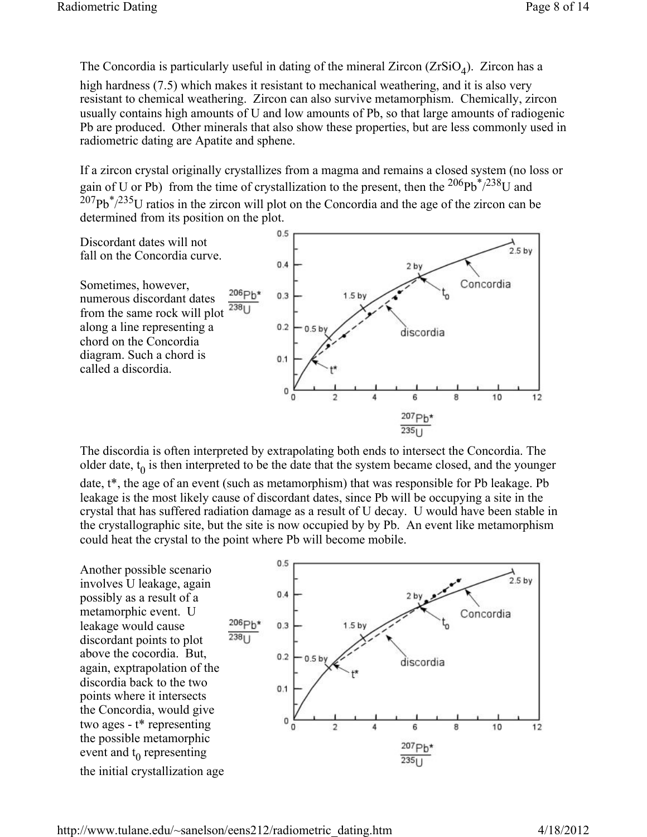The Concordia is particularly useful in dating of the mineral Zircon  $(ZrSiO<sub>4</sub>)$ . Zircon has a high hardness (7.5) which makes it resistant to mechanical weathering, and it is also very resistant to chemical weathering. Zircon can also survive metamorphism. Chemically, zircon usually contains high amounts of U and low amounts of Pb, so that large amounts of radiogenic Pb are produced. Other minerals that also show these properties, but are less commonly used in radiometric dating are Apatite and sphene.

If a zircon crystal originally crystallizes from a magma and remains a closed system (no loss or gain of U or Pb) from the time of crystallization to the present, then the  $206Pb^*/238U$  and  $^{207}Pb^{*}/^{235}U$  ratios in the zircon will plot on the Concordia and the age of the zircon can be determined from its position on the plot.



The discordia is often interpreted by extrapolating both ends to intersect the Concordia. The older date,  $t_0$  is then interpreted to be the date that the system became closed, and the younger date,  $t^*$ , the age of an event (such as metamorphism) that was responsible for Pb leakage. Pb leakage is the most likely cause of discordant dates, since Pb will be occupying a site in the crystal that has suffered radiation damage as a result of U decay. U would have been stable in the crystallographic site, but the site is now occupied by by Pb. An event like metamorphism could heat the crystal to the point where Pb will become mobile.

Another possible scenario involves U leakage, again possibly as a result of a metamorphic event. U leakage would cause discordant points to plot above the cocordia. But, again, exptrapolation of the discordia back to the two points where it intersects the Concordia, would give two ages - t\* representing the possible metamorphic event and  $t_0$  representing the initial crystallization age

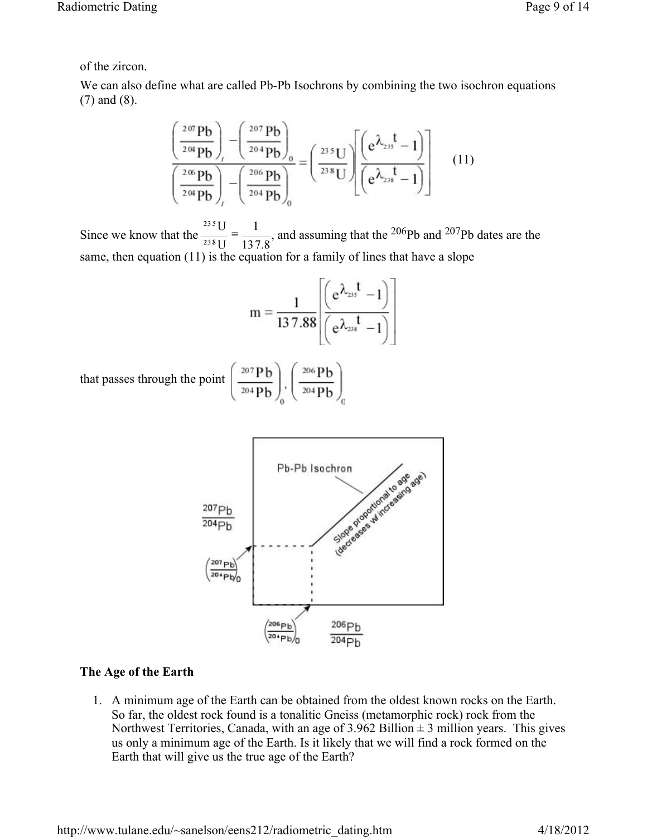# of the zircon.

We can also define what are called Pb-Pb Isochrons by combining the two isochron equations (7) and (8).

$$
\frac{\left(\frac{2^{07}Pb}{2^{04}Pb}\right) - \left(\frac{2^{07}Pb}{2^{04}Pb}\right)_{0}}{\left(\frac{2^{06}Pb}{2^{04}Pb}\right) - \left(\frac{2^{06}Pb}{2^{04}Pb}\right)_{0}} = \left(\frac{2^{35}U}{2^{38}U}\right)\left[\frac{\left(e^{\lambda_{235}}t - 1\right)}{\left(e^{\lambda_{235}}t - 1\right)}\right]
$$
(11)

Since we know that the  $\frac{^{235} \text{U}}{^{238} \text{U}} = \frac{1}{137.8}$ , and assuming that the <sup>206</sup>Pb and <sup>207</sup>Pb dates are the same, then equation (11) is the equation for a family of lines that have a slope

$$
m=\frac{1}{13\,7.88}\!\!\left[\!\!\left(\frac{e^{\lambda_{23}t}-1}{e^{\lambda_{23}t}-1}\!\right)\!\!\right]
$$

that passes through the point  $\left(\frac{207 \text{ Pb}}{204 \text{ Pb}}\right)$ ,  $\left(\frac{206 \text{ Pb}}{204 \text{ Pb}}\right)$ 



## **The Age of the Earth**

1. A minimum age of the Earth can be obtained from the oldest known rocks on the Earth. So far, the oldest rock found is a tonalitic Gneiss (metamorphic rock) rock from the Northwest Territories, Canada, with an age of  $3.962$  Billion  $\pm 3$  million years. This gives us only a minimum age of the Earth. Is it likely that we will find a rock formed on the Earth that will give us the true age of the Earth?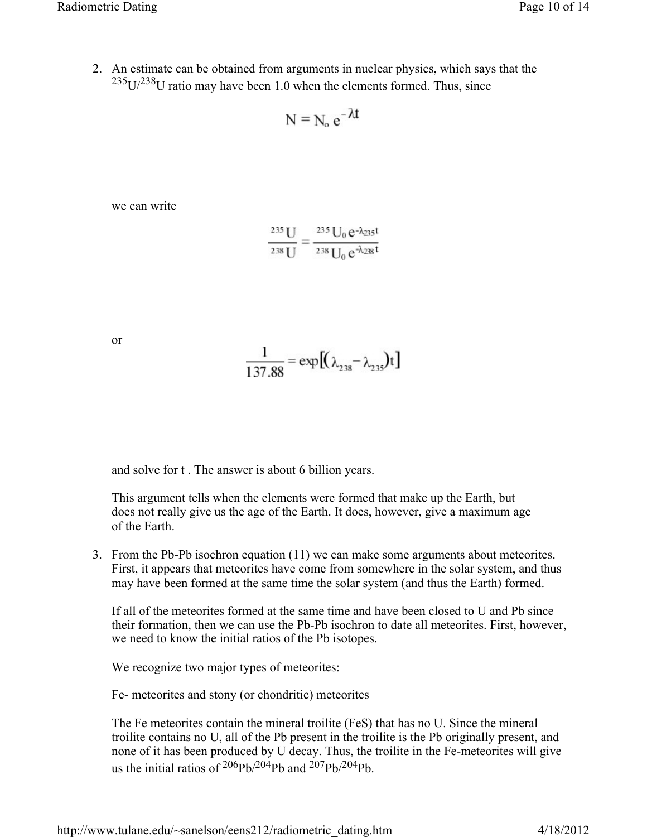2. An estimate can be obtained from arguments in nuclear physics, which says that the  $235$ U/ $238$ U ratio may have been 1.0 when the elements formed. Thus, since

$$
N = N_o e^{-\lambda t}
$$

we can write

$$
\frac{^{235}\text{U}}{^{238}\text{U}} = \frac{^{235}\text{U}_0 \, e^{-\lambda_{235}t}}{^{238}\text{U}_0 \, e^{-\lambda_{238}t}}
$$

or

$$
\frac{1}{137.88} = \exp[(\lambda_{238} - \lambda_{235})t]
$$

and solve for t . The answer is about 6 billion years.

This argument tells when the elements were formed that make up the Earth, but does not really give us the age of the Earth. It does, however, give a maximum age of the Earth.

3. From the Pb-Pb isochron equation (11) we can make some arguments about meteorites. First, it appears that meteorites have come from somewhere in the solar system, and thus may have been formed at the same time the solar system (and thus the Earth) formed.

If all of the meteorites formed at the same time and have been closed to U and Pb since their formation, then we can use the Pb-Pb isochron to date all meteorites. First, however, we need to know the initial ratios of the Pb isotopes.

We recognize two major types of meteorites:

Fe- meteorites and stony (or chondritic) meteorites

The Fe meteorites contain the mineral troilite (FeS) that has no U. Since the mineral troilite contains no U, all of the Pb present in the troilite is the Pb originally present, and none of it has been produced by U decay. Thus, the troilite in the Fe-meteorites will give us the initial ratios of  $206Pb/204Pb$  and  $207Pb/204Pb$ .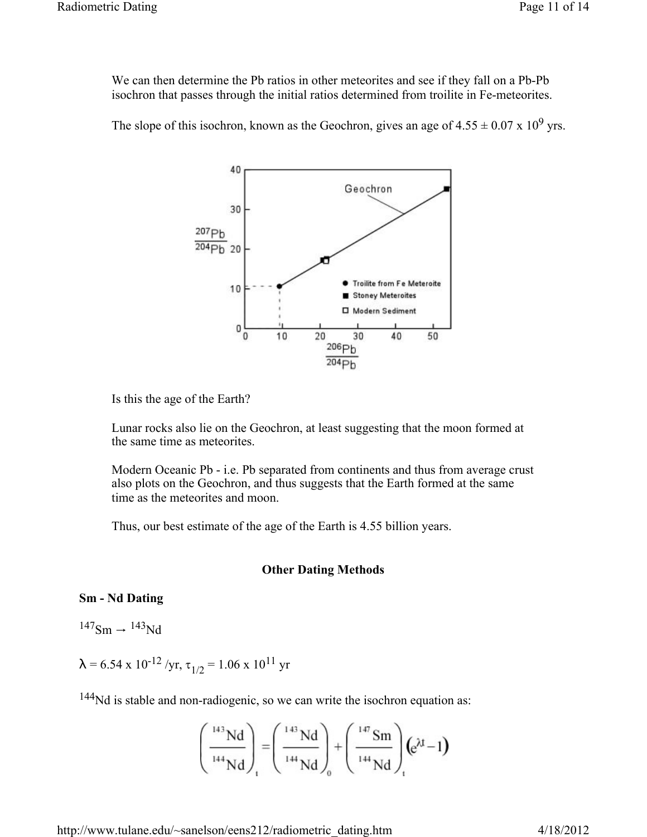We can then determine the Pb ratios in other meteorites and see if they fall on a Pb-Pb isochron that passes through the initial ratios determined from troilite in Fe-meteorites.

The slope of this isochron, known as the Geochron, gives an age of  $4.55 \pm 0.07 \times 10^9$  yrs.



Is this the age of the Earth?

Lunar rocks also lie on the Geochron, at least suggesting that the moon formed at the same time as meteorites.

Modern Oceanic Pb - i.e. Pb separated from continents and thus from average crust also plots on the Geochron, and thus suggests that the Earth formed at the same time as the meteorites and moon.

Thus, our best estimate of the age of the Earth is 4.55 billion years.

#### **Other Dating Methods**

#### **Sm - Nd Dating**

 $147$ Sm  $\rightarrow$   $143$ Nd

 $\lambda$  = 6.54 x 10<sup>-12</sup> /yr,  $\tau_{1/2}$  = 1.06 x 10<sup>11</sup> yr

<sup>144</sup>Nd is stable and non-radiogenic, so we can write the isochron equation as:

$$
\left(\frac{^{143}Nd}{^{144}Nd}\right)_1 = \left(\frac{^{143}Nd}{^{144}Nd}\right)_0 + \left(\frac{^{147}Sm}{^{144}Nd}\right)_1 \left(e^{\lambda t} - 1\right)
$$

http://www.tulane.edu/~sanelson/eens212/radiometric\_dating.htm 4/18/2012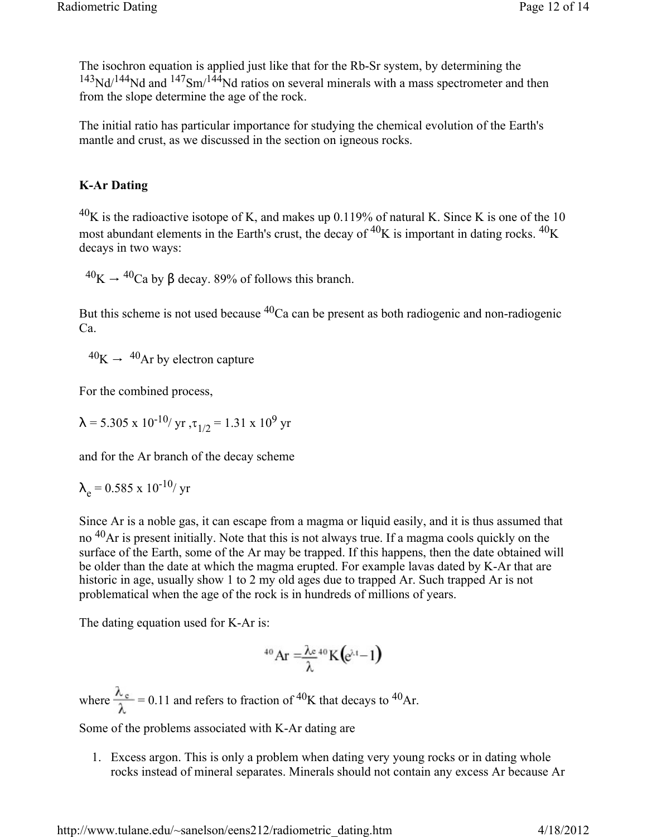The isochron equation is applied just like that for the Rb-Sr system, by determining the  $143Nd^{144}Nd$  and  $147Sm^{144}Nd$  ratios on several minerals with a mass spectrometer and then from the slope determine the age of the rock.

The initial ratio has particular importance for studying the chemical evolution of the Earth's mantle and crust, as we discussed in the section on igneous rocks.

## **K-Ar Dating**

 $^{40}$ K is the radioactive isotope of K, and makes up 0.119% of natural K. Since K is one of the 10 most abundant elements in the Earth's crust, the decay of  ${}^{40}K$  is important in dating rocks.  ${}^{40}K$ decays in two ways:

 $^{40}$ K  $\rightarrow$   $^{40}$ Ca by β decay. 89% of follows this branch.

But this scheme is not used because  ${}^{40}$ Ca can be present as both radiogenic and non-radiogenic Ca.

 $^{40}$ K  $\rightarrow$   $^{40}$ Ar by electron capture

For the combined process,

$$
\lambda = 5.305 \times 10^{-10} / \text{ yr}, \tau_{1/2} = 1.31 \times 10^9 \text{ yr}
$$

and for the Ar branch of the decay scheme

$$
\lambda_e = 0.585 \times 10^{-10} / \text{ yr}
$$

Since Ar is a noble gas, it can escape from a magma or liquid easily, and it is thus assumed that no 40Ar is present initially. Note that this is not always true. If a magma cools quickly on the surface of the Earth, some of the Ar may be trapped. If this happens, then the date obtained will be older than the date at which the magma erupted. For example lavas dated by K-Ar that are historic in age, usually show 1 to 2 my old ages due to trapped Ar. Such trapped Ar is not problematical when the age of the rock is in hundreds of millions of years.

The dating equation used for K-Ar is:

$$
^{40}\text{Ar}=\frac{\lambda e}{\lambda}^{40}\text{K}\left(e^{\lambda t}-1\right)
$$

where  $\frac{\lambda_c}{\lambda}$  = 0.11 and refers to fraction of <sup>40</sup>K that decays to <sup>40</sup>Ar.

Some of the problems associated with K-Ar dating are

1. Excess argon. This is only a problem when dating very young rocks or in dating whole rocks instead of mineral separates. Minerals should not contain any excess Ar because Ar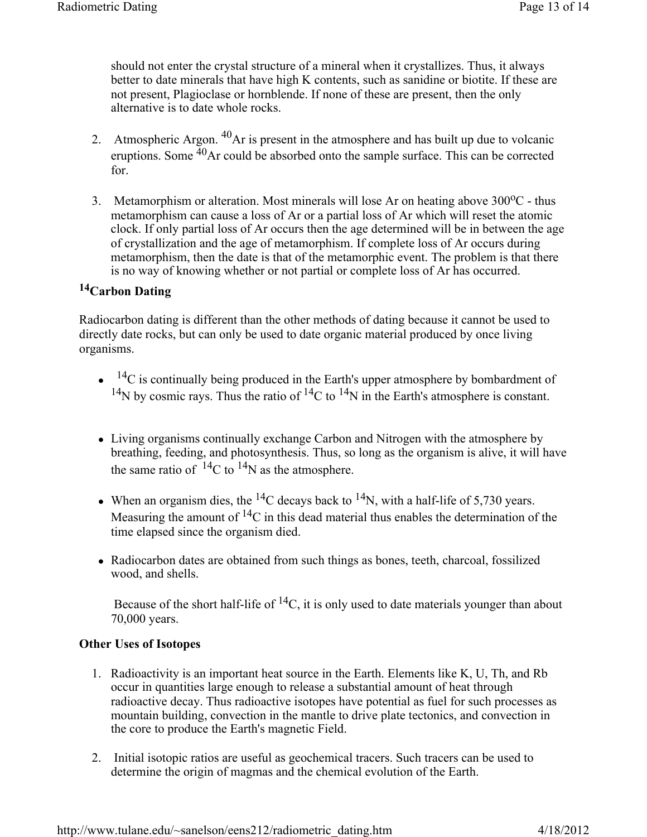should not enter the crystal structure of a mineral when it crystallizes. Thus, it always better to date minerals that have high K contents, such as sanidine or biotite. If these are not present, Plagioclase or hornblende. If none of these are present, then the only alternative is to date whole rocks.

- 2. Atmospheric Argon. <sup>40</sup>Ar is present in the atmosphere and has built up due to volcanic eruptions. Some  $\frac{40}{4}$ Ar could be absorbed onto the sample surface. This can be corrected for.
- 3. Metamorphism or alteration. Most minerals will lose Ar on heating above  $300^{\circ}$ C thus metamorphism can cause a loss of Ar or a partial loss of Ar which will reset the atomic clock. If only partial loss of Ar occurs then the age determined will be in between the age of crystallization and the age of metamorphism. If complete loss of Ar occurs during metamorphism, then the date is that of the metamorphic event. The problem is that there is no way of knowing whether or not partial or complete loss of Ar has occurred.

# **14Carbon Dating**

Radiocarbon dating is different than the other methods of dating because it cannot be used to directly date rocks, but can only be used to date organic material produced by once living organisms.

- $\bullet$  <sup>14</sup>C is continually being produced in the Earth's upper atmosphere by bombardment of <sup>14</sup>N by cosmic rays. Thus the ratio of <sup>14</sup>C to <sup>14</sup>N in the Earth's atmosphere is constant.
- Living organisms continually exchange Carbon and Nitrogen with the atmosphere by breathing, feeding, and photosynthesis. Thus, so long as the organism is alive, it will have the same ratio of  $^{14}$ C to  $^{14}$ N as the atmosphere.
- When an organism dies, the <sup>14</sup>C decays back to <sup>14</sup>N, with a half-life of 5,730 years. Measuring the amount of  ${}^{14}C$  in this dead material thus enables the determination of the time elapsed since the organism died.
- Radiocarbon dates are obtained from such things as bones, teeth, charcoal, fossilized wood, and shells.

Because of the short half-life of  ${}^{14}C$ , it is only used to date materials younger than about 70,000 years.

#### **Other Uses of Isotopes**

- 1. Radioactivity is an important heat source in the Earth. Elements like K, U, Th, and Rb occur in quantities large enough to release a substantial amount of heat through radioactive decay. Thus radioactive isotopes have potential as fuel for such processes as mountain building, convection in the mantle to drive plate tectonics, and convection in the core to produce the Earth's magnetic Field.
- 2. Initial isotopic ratios are useful as geochemical tracers. Such tracers can be used to determine the origin of magmas and the chemical evolution of the Earth.